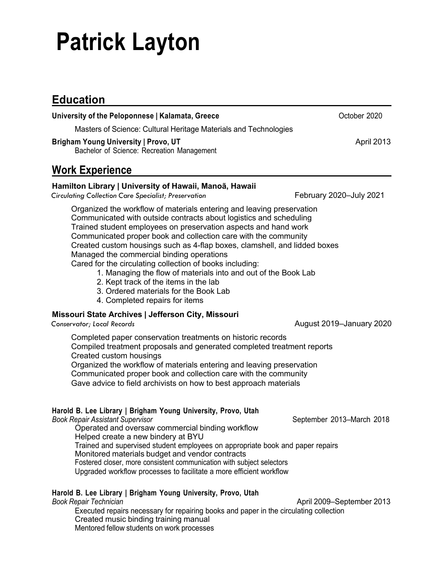# **Patrick Layton**

## **Education**

| University of the Peloponnese   Kalamata, Greece                                                                                                                                                                                                                                                                                                                                                                                                                                                                                                                                                                                                              | October 2020             |
|---------------------------------------------------------------------------------------------------------------------------------------------------------------------------------------------------------------------------------------------------------------------------------------------------------------------------------------------------------------------------------------------------------------------------------------------------------------------------------------------------------------------------------------------------------------------------------------------------------------------------------------------------------------|--------------------------|
| Masters of Science: Cultural Heritage Materials and Technologies                                                                                                                                                                                                                                                                                                                                                                                                                                                                                                                                                                                              |                          |
| <b>Brigham Young University   Provo, UT</b><br>Bachelor of Science: Recreation Management                                                                                                                                                                                                                                                                                                                                                                                                                                                                                                                                                                     | April 2013               |
| <b>Work Experience</b>                                                                                                                                                                                                                                                                                                                                                                                                                                                                                                                                                                                                                                        |                          |
| Hamilton Library   University of Hawaii, Manoã, Hawaii<br><b>Circulating Collection Care Specialist; Preservation</b>                                                                                                                                                                                                                                                                                                                                                                                                                                                                                                                                         | February 2020-July 2021  |
| Organized the workflow of materials entering and leaving preservation<br>Communicated with outside contracts about logistics and scheduling<br>Trained student employees on preservation aspects and hand work<br>Communicated proper book and collection care with the community<br>Created custom housings such as 4-flap boxes, clamshell, and lidded boxes<br>Managed the commercial binding operations<br>Cared for the circulating collection of books including:<br>1. Managing the flow of materials into and out of the Book Lab<br>2. Kept track of the items in the lab<br>3. Ordered materials for the Book Lab<br>4. Completed repairs for items |                          |
| Missouri State Archives   Jefferson City, Missouri<br>Conservator; Local Records                                                                                                                                                                                                                                                                                                                                                                                                                                                                                                                                                                              | August 2019-January 2020 |
| Completed paper conservation treatments on historic records<br>Compiled treatment proposals and generated completed treatment reports<br>Created custom housings<br>Organized the workflow of materials entering and leaving preservation<br>Communicated proper book and collection care with the community<br>Gave advice to field archivists on how to best approach materials                                                                                                                                                                                                                                                                             |                          |
| Harold B. Lee Library   Brigham Young University, Provo, Utah                                                                                                                                                                                                                                                                                                                                                                                                                                                                                                                                                                                                 |                          |

*Book Repair Assistant Supervisor* September 2013–March 2018

Operated and oversaw commercial binding workflow Helped create a new bindery at BYU Trained and supervised student employees on appropriate book and paper repairs Monitored materials budget and vendor contracts Fostered closer, more consistent communication with subject selectors Upgraded workflow processes to facilitate a more efficient workflow

#### **Harold B. Lee Library | Brigham Young University, Provo, Utah**

*Book Repair Technician* April 2009–September 2013 Executed repairs necessary for repairing books and paper in the circulating collection Created music binding training manual Mentored fellow students on work processes